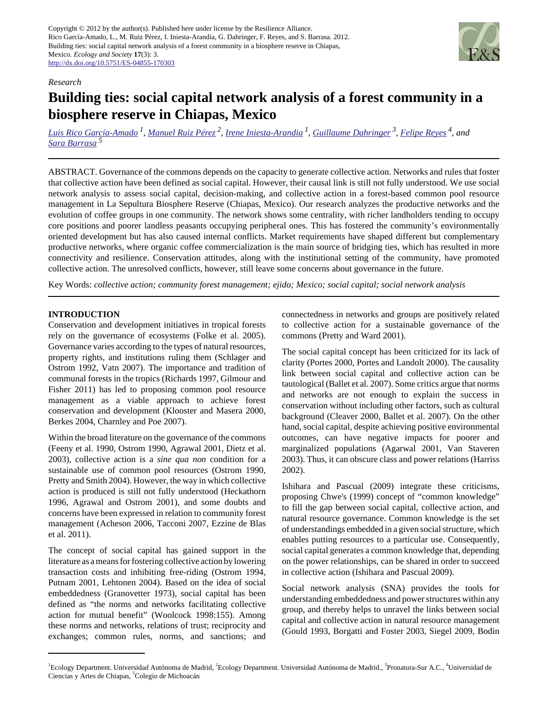Copyright © 2012 by the author(s). Published here under license by the Resilience Alliance. Rico García-Amado, L., M. Ruiz Pérez, I. Iniesta-Arandia, G. Dahringer, F. Reyes, and S. Barrasa. 2012. Building ties: social capital network analysis of a forest community in a biosphere reserve in Chiapas, Mexico. *Ecology and Society* **17**(3): 3. <http://dx.doi.org/10.5751/ES-04855-170303>



#### *Research*

# **Building ties: social capital network analysis of a forest community in a biosphere reserve in Chiapas, Mexico**

*[Luis Rico García-Amado](mailto:luis.rico@uam.es)<sup>1</sup> , [Manuel Ruiz Pérez](mailto:manuel.ruiz@uam.es)<sup>2</sup> , [Irene Iniesta-Arandia](mailto:iiniesta@ual.es)<sup>1</sup> , [Guillaume Dahringer](mailto:dahringer@pronatura-sur.org)<sup>3</sup> , [Felipe Reyes](mailto:felipe.reyes@unicach.mx) 4, and [Sara Barrasa](mailto:sbarrasa@colmich.edu.mx)<sup>5</sup>*

ABSTRACT. Governance of the commons depends on the capacity to generate collective action. Networks and rules that foster that collective action have been defined as social capital. However, their causal link is still not fully understood. We use social network analysis to assess social capital, decision-making, and collective action in a forest-based common pool resource management in La Sepultura Biosphere Reserve (Chiapas, Mexico). Our research analyzes the productive networks and the evolution of coffee groups in one community. The network shows some centrality, with richer landholders tending to occupy core positions and poorer landless peasants occupying peripheral ones. This has fostered the community's environmentally oriented development but has also caused internal conflicts. Market requirements have shaped different but complementary productive networks, where organic coffee commercialization is the main source of bridging ties, which has resulted in more connectivity and resilience. Conservation attitudes, along with the institutional setting of the community, have promoted collective action. The unresolved conflicts, however, still leave some concerns about governance in the future.

Key Words: *collective action; community forest management; ejido; Mexico; social capital; social network analysis*

#### **INTRODUCTION**

Conservation and development initiatives in tropical forests rely on the governance of ecosystems (Folke et al. 2005). Governance varies according to the types of natural resources, property rights, and institutions ruling them (Schlager and Ostrom 1992, Vatn 2007). The importance and tradition of communal forests in the tropics (Richards 1997, Gilmour and Fisher 2011) has led to proposing common pool resource management as a viable approach to achieve forest conservation and development (Klooster and Masera 2000, Berkes 2004, Charnley and Poe 2007).

Within the broad literature on the governance of the commons (Feeny et al. 1990, Ostrom 1990, Agrawal 2001, Dietz et al. 2003), collective action is a *sine qua non* condition for a sustainable use of common pool resources (Ostrom 1990, Pretty and Smith 2004). However, the way in which collective action is produced is still not fully understood (Heckathorn 1996, Agrawal and Ostrom 2001), and some doubts and concerns have been expressed in relation to community forest management (Acheson 2006, Tacconi 2007, Ezzine de Blas et al. 2011).

The concept of social capital has gained support in the literature as a means for fostering collective action by lowering transaction costs and inhibiting free-riding (Ostrom 1994, Putnam 2001, Lehtonen 2004). Based on the idea of social embeddedness (Granovetter 1973), social capital has been defined as "the norms and networks facilitating collective action for mutual benefit" (Woolcock 1998:155). Among these norms and networks, relations of trust; reciprocity and exchanges; common rules, norms, and sanctions; and connectedness in networks and groups are positively related to collective action for a sustainable governance of the commons (Pretty and Ward 2001).

The social capital concept has been criticized for its lack of clarity (Portes 2000, Portes and Landolt 2000). The causality link between social capital and collective action can be tautological (Ballet et al. 2007). Some critics argue that norms and networks are not enough to explain the success in conservation without including other factors, such as cultural background (Cleaver 2000, Ballet et al. 2007). On the other hand, social capital, despite achieving positive environmental outcomes, can have negative impacts for poorer and marginalized populations (Agarwal 2001, Van Staveren 2003). Thus, it can obscure class and power relations (Harriss 2002).

Ishihara and Pascual (2009) integrate these criticisms, proposing Chwe's (1999) concept of "common knowledge" to fill the gap between social capital, collective action, and natural resource governance. Common knowledge is the set of understandings embedded in a given social structure, which enables putting resources to a particular use. Consequently, social capital generates a common knowledge that, depending on the power relationships, can be shared in order to succeed in collective action (Ishihara and Pascual 2009).

Social network analysis (SNA) provides the tools for understanding embeddedness and power structures within any group, and thereby helps to unravel the links between social capital and collective action in natural resource management (Gould 1993, Borgatti and Foster 2003, Siegel 2009, Bodin

<sup>&</sup>lt;sup>1</sup>Ecology Department. Universidad Autónoma de Madrid, <sup>2</sup>Ecology Department. Universidad Autónoma de Madrid., <sup>3</sup>Pronatura-Sur A.C., <sup>4</sup>Universidad de Ciencias y Artes de Chiapas, <sup>3</sup>Colegio de Michoacán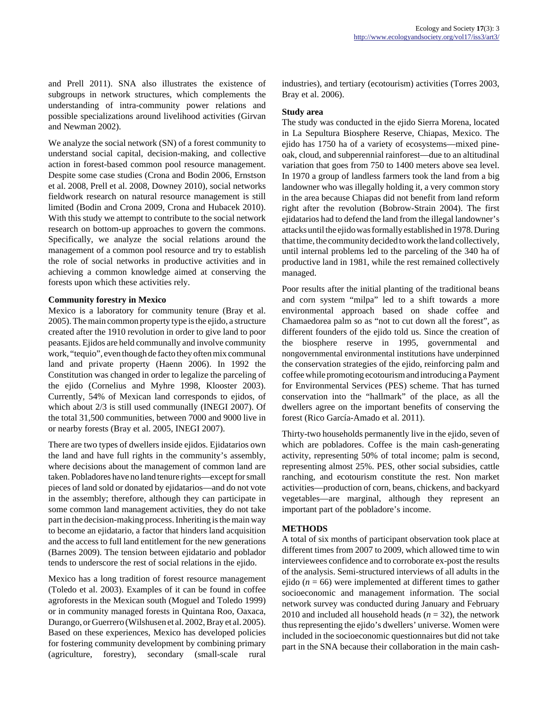and Prell 2011). SNA also illustrates the existence of subgroups in network structures, which complements the understanding of intra-community power relations and possible specializations around livelihood activities (Girvan and Newman 2002).

We analyze the social network (SN) of a forest community to understand social capital, decision-making, and collective action in forest-based common pool resource management. Despite some case studies (Crona and Bodin 2006, Ernstson et al. 2008, Prell et al. 2008, Downey 2010), social networks fieldwork research on natural resource management is still limited (Bodin and Crona 2009, Crona and Hubacek 2010). With this study we attempt to contribute to the social network research on bottom-up approaches to govern the commons. Specifically, we analyze the social relations around the management of a common pool resource and try to establish the role of social networks in productive activities and in achieving a common knowledge aimed at conserving the forests upon which these activities rely.

#### **Community forestry in Mexico**

Mexico is a laboratory for community tenure (Bray et al. 2005). The main common property type is the ejido, a structure created after the 1910 revolution in order to give land to poor peasants. Ejidos are held communally and involve community work, "tequio", even though de facto they often mix communal land and private property (Haenn 2006). In 1992 the Constitution was changed in order to legalize the parceling of the ejido (Cornelius and Myhre 1998, Klooster 2003). Currently, 54% of Mexican land corresponds to ejidos, of which about 2/3 is still used communally (INEGI 2007). Of the total 31,500 communities, between 7000 and 9000 live in or nearby forests (Bray et al. 2005, INEGI 2007).

There are two types of dwellers inside ejidos. Ejidatarios own the land and have full rights in the community's assembly, where decisions about the management of common land are taken. Pobladores have no land tenure rights—except for small pieces of land sold or donated by ejidatarios—and do not vote in the assembly; therefore, although they can participate in some common land management activities, they do not take part in the decision-making process. Inheriting is the main way to become an ejidatario, a factor that hinders land acquisition and the access to full land entitlement for the new generations (Barnes 2009). The tension between ejidatario and poblador tends to underscore the rest of social relations in the ejido.

Mexico has a long tradition of forest resource management (Toledo et al. 2003). Examples of it can be found in coffee agroforests in the Mexican south (Moguel and Toledo 1999) or in community managed forests in Quintana Roo, Oaxaca, Durango, or Guerrero (Wilshusen et al. 2002, Bray et al. 2005). Based on these experiences, Mexico has developed policies for fostering community development by combining primary (agriculture, forestry), secondary (small-scale rural industries), and tertiary (ecotourism) activities (Torres 2003, Bray et al. 2006).

#### **Study area**

The study was conducted in the ejido Sierra Morena, located in La Sepultura Biosphere Reserve, Chiapas, Mexico. The ejido has 1750 ha of a variety of ecosystems—mixed pineoak, cloud, and subperennial rainforest—due to an altitudinal variation that goes from 750 to 1400 meters above sea level. In 1970 a group of landless farmers took the land from a big landowner who was illegally holding it, a very common story in the area because Chiapas did not benefit from land reform right after the revolution (Bobrow-Strain 2004). The first ejidatarios had to defend the land from the illegal landowner's attacks until the ejido was formally established in 1978. During that time, the community decided to work the land collectively, until internal problems led to the parceling of the 340 ha of productive land in 1981, while the rest remained collectively managed.

Poor results after the initial planting of the traditional beans and corn system "milpa" led to a shift towards a more environmental approach based on shade coffee and Chamaedorea palm so as "not to cut down all the forest", as different founders of the ejido told us. Since the creation of the biosphere reserve in 1995, governmental and nongovernmental environmental institutions have underpinned the conservation strategies of the ejido, reinforcing palm and coffee while promoting ecotourism and introducing a Payment for Environmental Services (PES) scheme. That has turned conservation into the "hallmark" of the place, as all the dwellers agree on the important benefits of conserving the forest (Rico García-Amado et al. 2011).

Thirty-two households permanently live in the ejido, seven of which are pobladores. Coffee is the main cash-generating activity, representing 50% of total income; palm is second, representing almost 25%. PES, other social subsidies, cattle ranching, and ecotourism constitute the rest. Non market activities—production of corn, beans, chickens, and backyard vegetables—are marginal, although they represent an important part of the pobladore's income.

# **METHODS**

A total of six months of participant observation took place at different times from 2007 to 2009, which allowed time to win interviewees confidence and to corroborate ex-post the results of the analysis. Semi-structured interviews of all adults in the ejido ( $n = 66$ ) were implemented at different times to gather socioeconomic and management information. The social network survey was conducted during January and February 2010 and included all household heads  $(n = 32)$ , the network thus representing the ejido's dwellers' universe. Women were included in the socioeconomic questionnaires but did not take part in the SNA because their collaboration in the main cash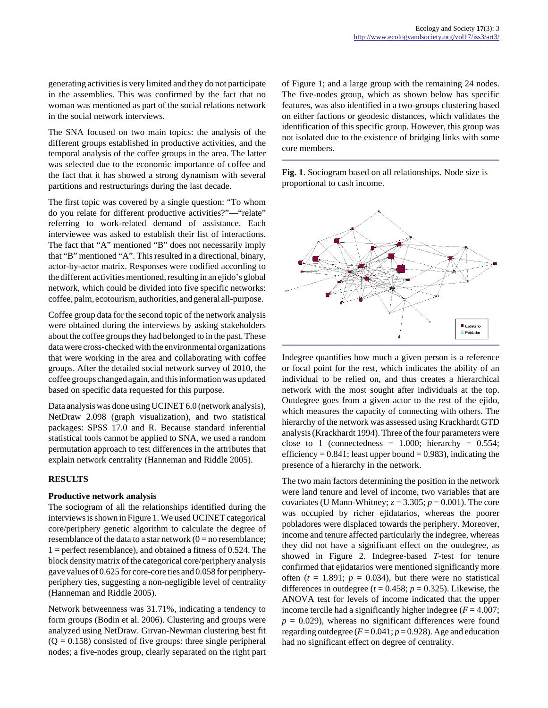generating activities is very limited and they do not participate in the assemblies. This was confirmed by the fact that no woman was mentioned as part of the social relations network in the social network interviews.

The SNA focused on two main topics: the analysis of the different groups established in productive activities, and the temporal analysis of the coffee groups in the area. The latter was selected due to the economic importance of coffee and the fact that it has showed a strong dynamism with several partitions and restructurings during the last decade.

The first topic was covered by a single question: "To whom do you relate for different productive activities?"—"relate" referring to work-related demand of assistance. Each interviewee was asked to establish their list of interactions. The fact that "A" mentioned "B" does not necessarily imply that "B" mentioned "A". This resulted in a directional, binary, actor-by-actor matrix. Responses were codified according to the different activities mentioned, resulting in an ejido's global network, which could be divided into five specific networks: coffee, palm, ecotourism, authorities, and general all-purpose.

Coffee group data for the second topic of the network analysis were obtained during the interviews by asking stakeholders about the coffee groups they had belonged to in the past. These data were cross-checked with the environmental organizations that were working in the area and collaborating with coffee groups. After the detailed social network survey of 2010, the coffee groups changed again, and this information was updated based on specific data requested for this purpose.

Data analysis was done using UCINET 6.0 (network analysis), NetDraw 2.098 (graph visualization), and two statistical packages: SPSS 17.0 and R. Because standard inferential statistical tools cannot be applied to SNA, we used a random permutation approach to test differences in the attributes that explain network centrality (Hanneman and Riddle 2005).

# **RESULTS**

#### **Productive network analysis**

The sociogram of all the relationships identified during the interviews is shown in Figure 1. We used UCINET categorical core/periphery genetic algorithm to calculate the degree of resemblance of the data to a star network  $(0 = no$  resemblance; 1 = perfect resemblance), and obtained a fitness of 0.524. The block density matrix of the categorical core/periphery analysis gave values of 0.625 for core-core ties and 0.058 for peripheryperiphery ties, suggesting a non-negligible level of centrality (Hanneman and Riddle 2005).

Network betweenness was 31.71%, indicating a tendency to form groups (Bodin et al. 2006). Clustering and groups were analyzed using NetDraw. Girvan-Newman clustering best fit  $(Q = 0.158)$  consisted of five groups: three single peripheral nodes; a five-nodes group, clearly separated on the right part of Figure 1; and a large group with the remaining 24 nodes. The five-nodes group, which as shown below has specific features, was also identified in a two-groups clustering based on either factions or geodesic distances, which validates the identification of this specific group. However, this group was not isolated due to the existence of bridging links with some core members.

**Fig. 1**. Sociogram based on all relationships. Node size is proportional to cash income.



Indegree quantifies how much a given person is a reference or focal point for the rest, which indicates the ability of an individual to be relied on, and thus creates a hierarchical network with the most sought after individuals at the top. Outdegree goes from a given actor to the rest of the ejido, which measures the capacity of connecting with others. The hierarchy of the network was assessed using Krackhardt GTD analysis (Krackhardt 1994). Three of the four parameters were close to 1 (connectedness =  $1.000$ ; hierarchy =  $0.554$ ; efficiency =  $0.841$ ; least upper bound =  $0.983$ ), indicating the presence of a hierarchy in the network.

The two main factors determining the position in the network were land tenure and level of income, two variables that are covariates (U Mann-Whitney;  $z = 3.305$ ;  $p = 0.001$ ). The core was occupied by richer ejidatarios, whereas the poorer pobladores were displaced towards the periphery. Moreover, income and tenure affected particularly the indegree, whereas they did not have a significant effect on the outdegree, as showed in Figure 2. Indegree-based *T*-test for tenure confirmed that ejidatarios were mentioned significantly more often  $(t = 1.891; p = 0.034)$ , but there were no statistical differences in outdegree  $(t = 0.458; p = 0.325)$ . Likewise, the ANOVA test for levels of income indicated that the upper income tercile had a significantly higher indegree  $(F = 4.007)$ ;  $p = 0.029$ , whereas no significant differences were found regarding outdegree  $(F = 0.041; p = 0.928)$ . Age and education had no significant effect on degree of centrality.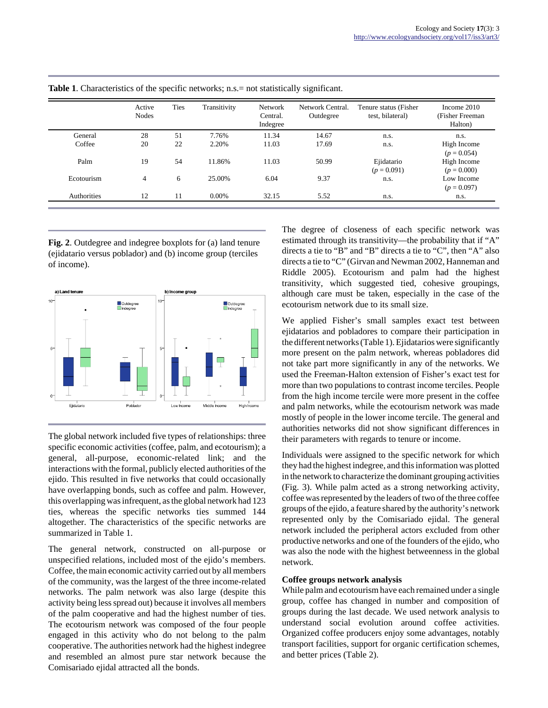|             | Active<br><b>Nodes</b> | <b>Ties</b> | Transitivity | Network<br>Central.<br>Indegree | Network Central.<br>Outdegree | Tenure status (Fisher<br>test, bilateral) | Income 2010<br>(Fisher Freeman)<br>Halton) |
|-------------|------------------------|-------------|--------------|---------------------------------|-------------------------------|-------------------------------------------|--------------------------------------------|
| General     | 28                     | 51          | 7.76%        | 11.34                           | 14.67                         | n.s.                                      | n.s.                                       |
| Coffee      | 20                     | 22          | 2.20%        | 11.03                           | 17.69                         | n.s.                                      | High Income<br>$(p = 0.054)$               |
| Palm        | 19                     | 54          | 11.86%       | 11.03                           | 50.99                         | Ejidatario<br>$(p = 0.091)$               | High Income<br>$(p = 0.000)$               |
| Ecotourism  | 4                      | 6           | 25.00%       | 6.04                            | 9.37                          | n.s.                                      | Low Income<br>$(p = 0.097)$                |
| Authorities | 12                     | 11          | $0.00\%$     | 32.15                           | 5.52                          | n.s.                                      | n.s.                                       |

**Table 1**. Characteristics of the specific networks; n.s.= not statistically significant.

**Fig. 2**. Outdegree and indegree boxplots for (a) land tenure (ejidatario versus poblador) and (b) income group (terciles of income).



The global network included five types of relationships: three specific economic activities (coffee, palm, and ecotourism); a general, all-purpose, economic-related link; and the interactions with the formal, publicly elected authorities of the ejido. This resulted in five networks that could occasionally have overlapping bonds, such as coffee and palm. However, this overlapping was infrequent, as the global network had 123 ties, whereas the specific networks ties summed 144 altogether. The characteristics of the specific networks are summarized in Table 1.

The general network, constructed on all-purpose or unspecified relations, included most of the ejido's members. Coffee, the main economic activity carried out by all members of the community, was the largest of the three income-related networks. The palm network was also large (despite this activity being less spread out) because it involves all members of the palm cooperative and had the highest number of ties. The ecotourism network was composed of the four people engaged in this activity who do not belong to the palm cooperative. The authorities network had the highest indegree and resembled an almost pure star network because the Comisariado ejidal attracted all the bonds.

The degree of closeness of each specific network was estimated through its transitivity—the probability that if "A" directs a tie to "B" and "B" directs a tie to "C", then "A" also directs a tie to "C" (Girvan and Newman 2002, Hanneman and Riddle 2005). Ecotourism and palm had the highest transitivity, which suggested tied, cohesive groupings, although care must be taken, especially in the case of the ecotourism network due to its small size.

We applied Fisher's small samples exact test between ejidatarios and pobladores to compare their participation in the different networks (Table 1). Ejidatarios were significantly more present on the palm network, whereas pobladores did not take part more significantly in any of the networks. We used the Freeman-Halton extension of Fisher's exact test for more than two populations to contrast income terciles. People from the high income tercile were more present in the coffee and palm networks, while the ecotourism network was made mostly of people in the lower income tercile. The general and authorities networks did not show significant differences in their parameters with regards to tenure or income.

Individuals were assigned to the specific network for which they had the highest indegree, and this information was plotted in the network to characterize the dominant grouping activities (Fig. 3). While palm acted as a strong networking activity, coffee was represented by the leaders of two of the three coffee groups of the ejido, a feature shared by the authority's network represented only by the Comisariado ejidal. The general network included the peripheral actors excluded from other productive networks and one of the founders of the ejido, who was also the node with the highest betweenness in the global network.

#### **Coffee groups network analysis**

While palm and ecotourism have each remained under a single group, coffee has changed in number and composition of groups during the last decade. We used network analysis to understand social evolution around coffee activities. Organized coffee producers enjoy some advantages, notably transport facilities, support for organic certification schemes, and better prices (Table 2).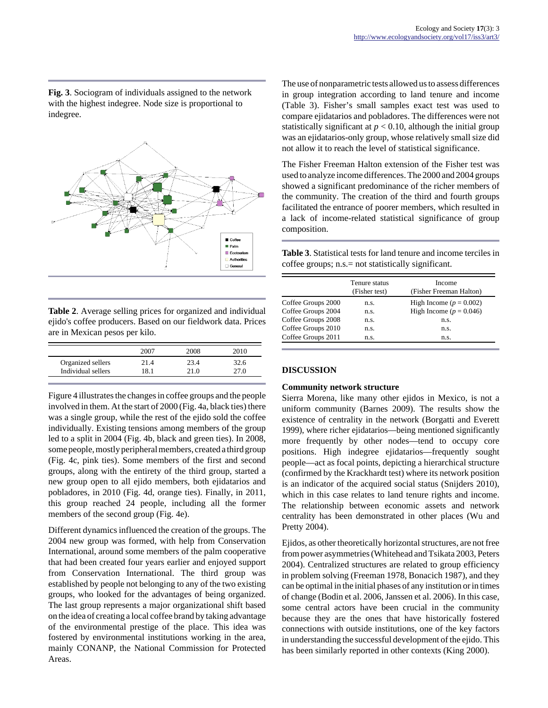**Fig. 3**. Sociogram of individuals assigned to the network with the highest indegree. Node size is proportional to indegree.



| <b>Table 2.</b> Average selling prices for organized and individual |
|---------------------------------------------------------------------|
| ejido's coffee producers. Based on our fieldwork data. Prices       |
| are in Mexican pesos per kilo.                                      |

|                    | 2007 | 2008 | 2010 |
|--------------------|------|------|------|
| Organized sellers  | 21.4 | 23.4 | 32.6 |
| Individual sellers | 18.1 | 21.0 | 27 O |

Figure 4 illustrates the changes in coffee groups and the people involved in them. At the start of 2000 (Fig. 4a, black ties) there was a single group, while the rest of the ejido sold the coffee individually. Existing tensions among members of the group led to a split in 2004 (Fig. 4b, black and green ties). In 2008, some people, mostly peripheral members, created a third group (Fig. 4c, pink ties). Some members of the first and second groups, along with the entirety of the third group, started a new group open to all ejido members, both ejidatarios and pobladores, in 2010 (Fig. 4d, orange ties). Finally, in 2011, this group reached 24 people, including all the former members of the second group (Fig. 4e).

Different dynamics influenced the creation of the groups. The 2004 new group was formed, with help from Conservation International, around some members of the palm cooperative that had been created four years earlier and enjoyed support from Conservation International. The third group was established by people not belonging to any of the two existing groups, who looked for the advantages of being organized. The last group represents a major organizational shift based on the idea of creating a local coffee brand by taking advantage of the environmental prestige of the place. This idea was fostered by environmental institutions working in the area, mainly CONANP, the National Commission for Protected Areas.

The use of nonparametric tests allowed us to assess differences in group integration according to land tenure and income (Table 3). Fisher's small samples exact test was used to compare ejidatarios and pobladores. The differences were not statistically significant at  $p < 0.10$ , although the initial group was an ejidatarios-only group, whose relatively small size did not allow it to reach the level of statistical significance.

The Fisher Freeman Halton extension of the Fisher test was used to analyze income differences. The 2000 and 2004 groups showed a significant predominance of the richer members of the community. The creation of the third and fourth groups facilitated the entrance of poorer members, which resulted in a lack of income-related statistical significance of group composition.

**Table 3**. Statistical tests for land tenure and income terciles in coffee groups; n.s.= not statistically significant.

|                    | Tenure status<br>(Fisher test) | Income<br>(Fisher Freeman Halton) |
|--------------------|--------------------------------|-----------------------------------|
| Coffee Groups 2000 | n.s.                           | High Income ( $p = 0.002$ )       |
| Coffee Groups 2004 | n.s.                           | High Income ( $p = 0.046$ )       |
| Coffee Groups 2008 | n.s.                           | n.s.                              |
| Coffee Groups 2010 | n.s.                           | n.s.                              |
| Coffee Groups 2011 | n.s.                           | n.s.                              |

# **DISCUSSION**

# **Community network structure**

Sierra Morena, like many other ejidos in Mexico, is not a uniform community (Barnes 2009). The results show the existence of centrality in the network (Borgatti and Everett 1999), where richer ejidatarios—being mentioned significantly more frequently by other nodes—tend to occupy core positions. High indegree ejidatarios—frequently sought people—act as focal points, depicting a hierarchical structure (confirmed by the Krackhardt test) where its network position is an indicator of the acquired social status (Snijders 2010), which in this case relates to land tenure rights and income. The relationship between economic assets and network centrality has been demonstrated in other places (Wu and Pretty 2004).

Ejidos, as other theoretically horizontal structures, are not free from power asymmetries (Whitehead and Tsikata 2003, Peters 2004). Centralized structures are related to group efficiency in problem solving (Freeman 1978, Bonacich 1987), and they can be optimal in the initial phases of any institution or in times of change (Bodin et al. 2006, Janssen et al. 2006). In this case, some central actors have been crucial in the community because they are the ones that have historically fostered connections with outside institutions, one of the key factors in understanding the successful development of the ejido. This has been similarly reported in other contexts (King 2000).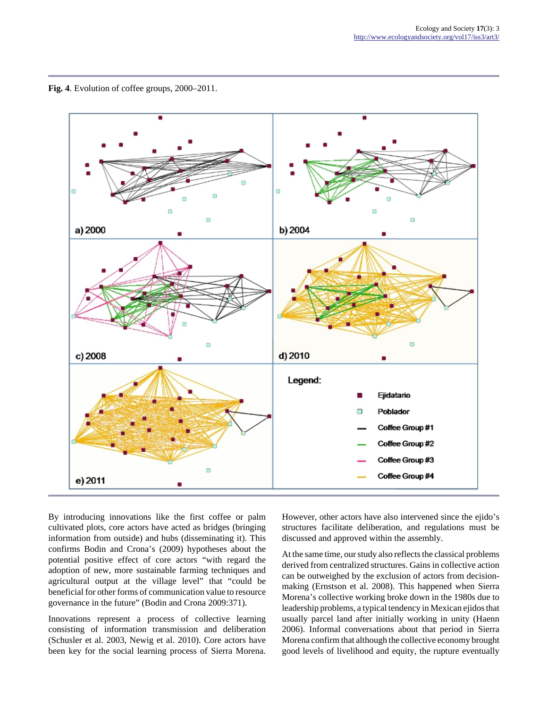**Fig. 4**. Evolution of coffee groups, 2000–2011.



By introducing innovations like the first coffee or palm cultivated plots, core actors have acted as bridges (bringing information from outside) and hubs (disseminating it). This confirms Bodin and Crona's (2009) hypotheses about the potential positive effect of core actors "with regard the adoption of new, more sustainable farming techniques and agricultural output at the village level" that "could be beneficial for other forms of communication value to resource governance in the future" (Bodin and Crona 2009:371).

Innovations represent a process of collective learning consisting of information transmission and deliberation (Schusler et al. 2003, Newig et al. 2010). Core actors have been key for the social learning process of Sierra Morena.

However, other actors have also intervened since the ejido's structures facilitate deliberation, and regulations must be discussed and approved within the assembly.

At the same time, our study also reflects the classical problems derived from centralized structures. Gains in collective action can be outweighed by the exclusion of actors from decisionmaking (Ernstson et al. 2008). This happened when Sierra Morena's collective working broke down in the 1980s due to leadership problems, a typical tendency in Mexican ejidos that usually parcel land after initially working in unity (Haenn 2006). Informal conversations about that period in Sierra Morena confirm that although the collective economy brought good levels of livelihood and equity, the rupture eventually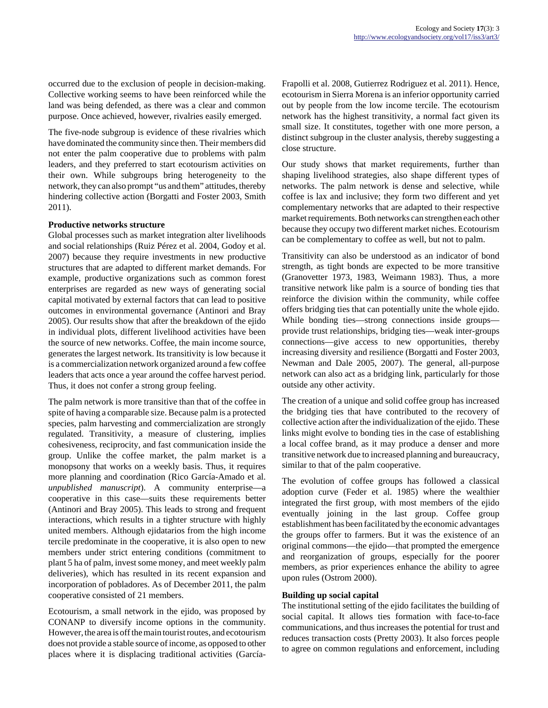occurred due to the exclusion of people in decision-making. Collective working seems to have been reinforced while the land was being defended, as there was a clear and common purpose. Once achieved, however, rivalries easily emerged.

The five-node subgroup is evidence of these rivalries which have dominated the community since then. Their members did not enter the palm cooperative due to problems with palm leaders, and they preferred to start ecotourism activities on their own. While subgroups bring heterogeneity to the network, they can also prompt "us and them" attitudes, thereby hindering collective action (Borgatti and Foster 2003, Smith 2011).

#### **Productive networks structure**

Global processes such as market integration alter livelihoods and social relationships (Ruiz Pérez et al. 2004, Godoy et al. 2007) because they require investments in new productive structures that are adapted to different market demands. For example, productive organizations such as common forest enterprises are regarded as new ways of generating social capital motivated by external factors that can lead to positive outcomes in environmental governance (Antinori and Bray 2005). Our results show that after the breakdown of the ejido in individual plots, different livelihood activities have been the source of new networks. Coffee, the main income source, generates the largest network. Its transitivity is low because it is a commercialization network organized around a few coffee leaders that acts once a year around the coffee harvest period. Thus, it does not confer a strong group feeling.

The palm network is more transitive than that of the coffee in spite of having a comparable size. Because palm is a protected species, palm harvesting and commercialization are strongly regulated. Transitivity, a measure of clustering, implies cohesiveness, reciprocity, and fast communication inside the group. Unlike the coffee market, the palm market is a monopsony that works on a weekly basis. Thus, it requires more planning and coordination (Rico García-Amado et al. *unpublished manuscript*). A community enterprise—a cooperative in this case—suits these requirements better (Antinori and Bray 2005). This leads to strong and frequent interactions, which results in a tighter structure with highly united members. Although ejidatarios from the high income tercile predominate in the cooperative, it is also open to new members under strict entering conditions (commitment to plant 5 ha of palm, invest some money, and meet weekly palm deliveries), which has resulted in its recent expansion and incorporation of pobladores. As of December 2011, the palm cooperative consisted of 21 members.

Ecotourism, a small network in the ejido, was proposed by CONANP to diversify income options in the community. However, the area is off the main tourist routes, and ecotourism does not provide a stable source of income, as opposed to other places where it is displacing traditional activities (GarcíaFrapolli et al. 2008, Gutierrez Rodriguez et al. 2011). Hence, ecotourism in Sierra Morena is an inferior opportunity carried out by people from the low income tercile. The ecotourism network has the highest transitivity, a normal fact given its small size. It constitutes, together with one more person, a distinct subgroup in the cluster analysis, thereby suggesting a close structure.

Our study shows that market requirements, further than shaping livelihood strategies, also shape different types of networks. The palm network is dense and selective, while coffee is lax and inclusive; they form two different and yet complementary networks that are adapted to their respective market requirements. Both networks can strengthen each other because they occupy two different market niches. Ecotourism can be complementary to coffee as well, but not to palm.

Transitivity can also be understood as an indicator of bond strength, as tight bonds are expected to be more transitive (Granovetter 1973, 1983, Weimann 1983). Thus, a more transitive network like palm is a source of bonding ties that reinforce the division within the community, while coffee offers bridging ties that can potentially unite the whole ejido. While bonding ties—strong connections inside groups provide trust relationships, bridging ties—weak inter-groups connections—give access to new opportunities, thereby increasing diversity and resilience (Borgatti and Foster 2003, Newman and Dale 2005, 2007). The general, all-purpose network can also act as a bridging link, particularly for those outside any other activity.

The creation of a unique and solid coffee group has increased the bridging ties that have contributed to the recovery of collective action after the individualization of the ejido. These links might evolve to bonding ties in the case of establishing a local coffee brand, as it may produce a denser and more transitive network due to increased planning and bureaucracy, similar to that of the palm cooperative.

The evolution of coffee groups has followed a classical adoption curve (Feder et al. 1985) where the wealthier integrated the first group, with most members of the ejido eventually joining in the last group. Coffee group establishment has been facilitated by the economic advantages the groups offer to farmers. But it was the existence of an original commons—the ejido—that prompted the emergence and reorganization of groups, especially for the poorer members, as prior experiences enhance the ability to agree upon rules (Ostrom 2000).

# **Building up social capital**

The institutional setting of the ejido facilitates the building of social capital. It allows ties formation with face-to-face communications, and thus increases the potential for trust and reduces transaction costs (Pretty 2003). It also forces people to agree on common regulations and enforcement, including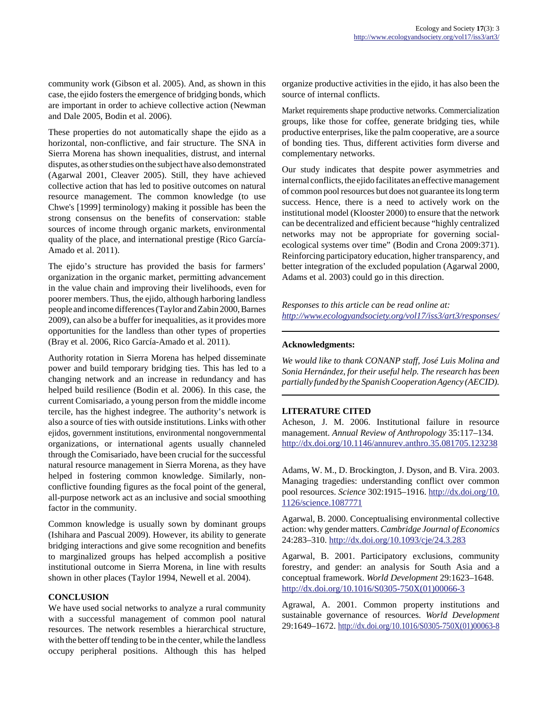community work (Gibson et al. 2005). And, as shown in this case, the ejido fosters the emergence of bridging bonds, which are important in order to achieve collective action (Newman and Dale 2005, Bodin et al. 2006).

These properties do not automatically shape the ejido as a horizontal, non-conflictive, and fair structure. The SNA in Sierra Morena has shown inequalities, distrust, and internal disputes, as other studies on the subject have also demonstrated (Agarwal 2001, Cleaver 2005). Still, they have achieved collective action that has led to positive outcomes on natural resource management. The common knowledge (to use Chwe's [1999] terminology) making it possible has been the strong consensus on the benefits of conservation: stable sources of income through organic markets, environmental quality of the place, and international prestige (Rico García-Amado et al. 2011).

The ejido's structure has provided the basis for farmers' organization in the organic market, permitting advancement in the value chain and improving their livelihoods, even for poorer members. Thus, the ejido, although harboring landless people and income differences (Taylor and Zabin 2000, Barnes 2009), can also be a buffer for inequalities, as it provides more opportunities for the landless than other types of properties (Bray et al. 2006, Rico García-Amado et al. 2011).

Authority rotation in Sierra Morena has helped disseminate power and build temporary bridging ties. This has led to a changing network and an increase in redundancy and has helped build resilience (Bodin et al. 2006). In this case, the current Comisariado, a young person from the middle income tercile, has the highest indegree. The authority's network is also a source of ties with outside institutions. Links with other ejidos, government institutions, environmental nongovernmental organizations, or international agents usually channeled through the Comisariado, have been crucial for the successful natural resource management in Sierra Morena, as they have helped in fostering common knowledge. Similarly, nonconflictive founding figures as the focal point of the general, all-purpose network act as an inclusive and social smoothing factor in the community.

Common knowledge is usually sown by dominant groups (Ishihara and Pascual 2009). However, its ability to generate bridging interactions and give some recognition and benefits to marginalized groups has helped accomplish a positive institutional outcome in Sierra Morena, in line with results shown in other places (Taylor 1994, Newell et al. 2004).

# **CONCLUSION**

We have used social networks to analyze a rural community with a successful management of common pool natural resources. The network resembles a hierarchical structure, with the better off tending to be in the center, while the landless occupy peripheral positions. Although this has helped organize productive activities in the ejido, it has also been the source of internal conflicts.

Market requirements shape productive networks. Commercialization groups, like those for coffee, generate bridging ties, while productive enterprises, like the palm cooperative, are a source of bonding ties. Thus, different activities form diverse and complementary networks.

Our study indicates that despite power asymmetries and internal conflicts, the ejido facilitates an effective management of common pool resources but does not guarantee its long term success. Hence, there is a need to actively work on the institutional model (Klooster 2000) to ensure that the network can be decentralized and efficient because "highly centralized networks may not be appropriate for governing socialecological systems over time" (Bodin and Crona 2009:371). Reinforcing participatory education, higher transparency, and better integration of the excluded population (Agarwal 2000, Adams et al. 2003) could go in this direction.

*Responses to this article can be read online at: <http://www.ecologyandsociety.org/vol17/iss3/art3/responses/>*

#### **Acknowledgments:**

*We would like to thank CONANP staff, José Luis Molina and Sonia Hernández, for their useful help. The research has been partially funded by the Spanish Cooperation Agency (AECID).*

#### **LITERATURE CITED**

Acheson, J. M. 2006. Institutional failure in resource management. *Annual Review of Anthropology* 35:117–134. <http://dx.doi.org/10.1146/annurev.anthro.35.081705.123238>

Adams, W. M., D. Brockington, J. Dyson, and B. Vira. 2003. Managing tragedies: understanding conflict over common pool resources. *Science* 302:1915–1916. [http://dx.doi.org/10.](http://dx.doi.org/10.1126/science.1087771) [1126/science.1087771](http://dx.doi.org/10.1126/science.1087771)

Agarwal, B. 2000. Conceptualising environmental collective action: why gender matters. *Cambridge Journal of Economics* 24:283–310. <http://dx.doi.org/10.1093/cje/24.3.283>

Agarwal, B. 2001. Participatory exclusions, community forestry, and gender: an analysis for South Asia and a conceptual framework. *World Development* 29:1623–1648. [http://dx.doi.org/10.1016/S0305-750X\(01\)00066-3](http://dx.doi.org/10.1016/S0305-750X(01)00066-3)

Agrawal, A. 2001. Common property institutions and sustainable governance of resources. *World Development* 29:1649–1672. [http://dx.doi.org/10.1016/S0305-750X\(01\)00063-8](http://dx.doi.org/10.1016/S0305-750X(01)00063-8)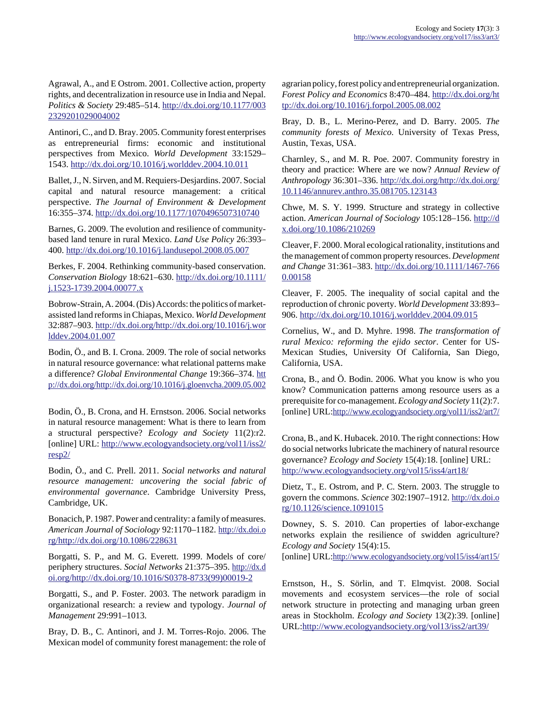Agrawal, A., and E Ostrom. 2001. Collective action, property rights, and decentralization in resource use in India and Nepal. *Politics & Society* 29:485–514. [http://dx.doi.org/10.1177/003](http://dx.doi.org/10.1177/0032329201029004002) [2329201029004002](http://dx.doi.org/10.1177/0032329201029004002)

Antinori, C., and D. Bray. 2005. Community forest enterprises as entrepreneurial firms: economic and institutional perspectives from Mexico. *World Development* 33:1529– 1543. <http://dx.doi.org/10.1016/j.worlddev.2004.10.011>

Ballet, J., N. Sirven, and M. Requiers-Desjardins. 2007. Social capital and natural resource management: a critical perspective. *The Journal of Environment & Development* 16:355–374. <http://dx.doi.org/10.1177/1070496507310740>

Barnes, G. 2009. The evolution and resilience of communitybased land tenure in rural Mexico. *Land Use Policy* 26:393– 400. <http://dx.doi.org/10.1016/j.landusepol.2008.05.007>

Berkes, F. 2004. Rethinking community-based conservation. *Conservation Biology* 18:621–630. [http://dx.doi.org/10.1111/](http://dx.doi.org/10.1111/j.1523-1739.2004.00077.x) [j.1523-1739.2004.00077.x](http://dx.doi.org/10.1111/j.1523-1739.2004.00077.x)

Bobrow-Strain, A. 2004. (Dis) Accords: the politics of marketassisted land reforms in Chiapas, Mexico. *World Development* 32:887–903. [http://dx.doi.org/http://dx.doi.org/10.1016/j.wor](http://dx.doi.org/http://dx.doi.org/10.1016/j.worlddev.2004.01.007) [lddev.2004.01.007](http://dx.doi.org/http://dx.doi.org/10.1016/j.worlddev.2004.01.007)

Bodin, Ö., and B. I. Crona. 2009. The role of social networks in natural resource governance: what relational patterns make a difference? *Global Environmental Change* 19:366–374. [htt](http://dx.doi.org/http://dx.doi.org/10.1016/j.gloenvcha.2009.05.002) [p://dx.doi.org/http://dx.doi.org/10.1016/j.gloenvcha.2009.05.002](http://dx.doi.org/http://dx.doi.org/10.1016/j.gloenvcha.2009.05.002)

Bodin, Ö., B. Crona, and H. Ernstson. 2006. Social networks in natural resource management: What is there to learn from a structural perspective? *Ecology and Society* 11(2):r2. [online] URL: [http://www.ecologyandsociety.org/vol11/iss2/](http://www.ecologyandsociety.org/vol11/iss2/resp2/) [resp2/](http://www.ecologyandsociety.org/vol11/iss2/resp2/)

Bodin, Ö., and C. Prell. 2011. *Social networks and natural resource management: uncovering the social fabric of environmental governance*. Cambridge University Press, Cambridge, UK.

Bonacich, P. 1987. Power and centrality: a family of measures. *American Journal of Sociology* 92:1170–1182. [http://dx.doi.o](http://dx.doi.org/http://dx.doi.org/10.1086/228631) [rg/http://dx.doi.org/10.1086/228631](http://dx.doi.org/http://dx.doi.org/10.1086/228631)

Borgatti, S. P., and M. G. Everett. 1999. Models of core/ periphery structures. *Social Networks* 21:375–395. [http://dx.d](http://dx.doi.org/http://dx.doi.org/10.1016/S0378-8733(99)00019-2) [oi.org/http://dx.doi.org/10.1016/S0378-8733\(99\)00019-2](http://dx.doi.org/http://dx.doi.org/10.1016/S0378-8733(99)00019-2)

Borgatti, S., and P. Foster. 2003. The network paradigm in organizational research: a review and typology. *Journal of Management* 29:991–1013.

Bray, D. B., C. Antinori, and J. M. Torres-Rojo. 2006. The Mexican model of community forest management: the role of agrarian policy, forest policy and entrepreneurial organization. *Forest Policy and Economics* 8:470–484. [http://dx.doi.org/ht](http://dx.doi.org/http://dx.doi.org/10.1016/j.forpol.2005.08.002) [tp://dx.doi.org/10.1016/j.forpol.2005.08.002](http://dx.doi.org/http://dx.doi.org/10.1016/j.forpol.2005.08.002)

Bray, D. B., L. Merino-Perez, and D. Barry. 2005. *The community forests of Mexico*. University of Texas Press, Austin, Texas, USA.

Charnley, S., and M. R. Poe. 2007. Community forestry in theory and practice: Where are we now? *Annual Review of Anthropology* 36:301–336. [http://dx.doi.org/http://dx.doi.org/](http://dx.doi.org/http://dx.doi.org/10.1146/annurev.anthro.35.081705.123143) [10.1146/annurev.anthro.35.081705.123143](http://dx.doi.org/http://dx.doi.org/10.1146/annurev.anthro.35.081705.123143)

Chwe, M. S. Y. 1999. Structure and strategy in collective action. *American Journal of Sociology* 105:128–156. [http://d](http://dx.doi.org/10.1086/210269) [x.doi.org/10.1086/210269](http://dx.doi.org/10.1086/210269)

Cleaver, F. 2000. Moral ecological rationality, institutions and the management of common property resources. *Development and Change* 31:361–383. [http://dx.doi.org/10.1111/1467-766](http://dx.doi.org/10.1111/1467-7660.00158) [0.00158](http://dx.doi.org/10.1111/1467-7660.00158)

Cleaver, F. 2005. The inequality of social capital and the reproduction of chronic poverty. *World Development* 33:893– 906. <http://dx.doi.org/10.1016/j.worlddev.2004.09.015>

Cornelius, W., and D. Myhre. 1998. *The transformation of rural Mexico: reforming the ejido sector*. Center for US-Mexican Studies, University Of California, San Diego, California, USA.

Crona, B., and Ö. Bodin. 2006. What you know is who you know? Communication patterns among resource users as a prerequisite for co-management. *Ecology and Society* 11(2):7. [online] URL:<http://www.ecologyandsociety.org/vol11/iss2/art7/>

Crona, B., and K. Hubacek. 2010. The right connections: How do social networks lubricate the machinery of natural resource governance? *Ecology and Society* 15(4):18. [online] URL: <http://www.ecologyandsociety.org/vol15/iss4/art18/>

Dietz, T., E. Ostrom, and P. C. Stern. 2003. The struggle to govern the commons. *Science* 302:1907–1912. [http://dx.doi.o](http://dx.doi.org/10.1126/science.1091015) [rg/10.1126/science.1091015](http://dx.doi.org/10.1126/science.1091015)

Downey, S. S. 2010. Can properties of labor-exchange networks explain the resilience of swidden agriculture? *Ecology and Society* 15(4):15.

[online] URL:<http://www.ecologyandsociety.org/vol15/iss4/art15/>

Ernstson, H., S. Sörlin, and T. Elmqvist. 2008. Social movements and ecosystem services—the role of social network structure in protecting and managing urban green areas in Stockholm. *Ecology and Society* 13(2):39. [online] URL:<http://www.ecologyandsociety.org/vol13/iss2/art39/>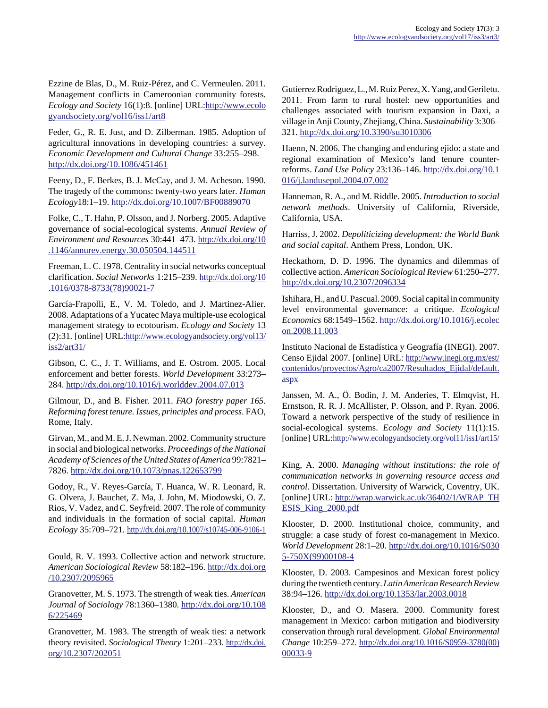Ezzine de Blas, D., M. Ruiz-Pérez, and C. Vermeulen. 2011. Management conflicts in Cameroonian community forests. *Ecology and Society* 16(1):8. [online] URL:[http://www.ecolo](http://www.ecologyandsociety.org/vol16/iss1/art8) [gyandsociety.org/vol16/iss1/art8](http://www.ecologyandsociety.org/vol16/iss1/art8)

Feder, G., R. E. Just, and D. Zilberman. 1985. Adoption of agricultural innovations in developing countries: a survey. *Economic Development and Cultural Change* 33:255–298. <http://dx.doi.org/10.1086/451461>

Feeny, D., F. Berkes, B. J. McCay, and J. M. Acheson. 1990. The tragedy of the commons: twenty-two years later. *Human Ecology*18:1–19. <http://dx.doi.org/10.1007/BF00889070>

Folke, C., T. Hahn, P. Olsson, and J. Norberg. 2005. Adaptive governance of social-ecological systems. *Annual Review of Environment and Resources* 30:441–473. [http://dx.doi.org/10](http://dx.doi.org/10.1146/annurev.energy.30.050504.144511) [.1146/annurev.energy.30.050504.144511](http://dx.doi.org/10.1146/annurev.energy.30.050504.144511)

Freeman, L. C. 1978. Centrality in social networks conceptual clarification. *Social Networks* 1:215–239. [http://dx.doi.org/10](http://dx.doi.org/10.1016/0378-8733(78)90021-7) [.1016/0378-8733\(78\)90021-7](http://dx.doi.org/10.1016/0378-8733(78)90021-7)

García-Frapolli, E., V. M. Toledo, and J. Martinez-Alier. 2008. Adaptations of a Yucatec Maya multiple-use ecological management strategy to ecotourism. *Ecology and Society* 13 (2):31. [online] URL[:http://www.ecologyandsociety.org/vol13/](http://www.ecologyandsociety.org/vol13/iss2/art31/) [iss2/art31/](http://www.ecologyandsociety.org/vol13/iss2/art31/)

Gibson, C. C., J. T. Williams, and E. Ostrom. 2005. Local enforcement and better forests. *World Development* 33:273– 284. <http://dx.doi.org/10.1016/j.worlddev.2004.07.013>

Gilmour, D., and B. Fisher. 2011. *FAO forestry paper 165. Reforming forest tenure. Issues, principles and process*. FAO, Rome, Italy.

Girvan, M., and M. E. J. Newman. 2002. Community structure in social and biological networks. *Proceedings of the National Academy of Sciences of the United States of America* 99:7821– 7826. <http://dx.doi.org/10.1073/pnas.122653799>

Godoy, R., V. Reyes-García, T. Huanca, W. R. Leonard, R. G. Olvera, J. Bauchet, Z. Ma, J. John, M. Miodowski, O. Z. Rios, V. Vadez, and C. Seyfreid. 2007. The role of community and individuals in the formation of social capital. *Human Ecology* 35:709–721.<http://dx.doi.org/10.1007/s10745-006-9106-1>

Gould, R. V. 1993. Collective action and network structure. *American Sociological Review* 58:182–196. [http://dx.doi.org](http://dx.doi.org/10.2307/2095965) [/10.2307/2095965](http://dx.doi.org/10.2307/2095965)

Granovetter, M. S. 1973. The strength of weak ties. *American Journal of Sociology* 78:1360–1380. [http://dx.doi.org/10.108](http://dx.doi.org/10.1086/225469) [6/225469](http://dx.doi.org/10.1086/225469)

Granovetter, M. 1983. The strength of weak ties: a network theory revisited. *Sociological Theory* 1:201–233. [http://dx.doi.](http://dx.doi.org/10.2307/202051) [org/10.2307/202051](http://dx.doi.org/10.2307/202051)

Gutierrez Rodriguez, L., M. Ruiz Perez, X. Yang, and Geriletu. 2011. From farm to rural hostel: new opportunities and challenges associated with tourism expansion in Daxi, a village in Anji County, Zhejiang, China. *Sustainability* 3:306– 321. <http://dx.doi.org/10.3390/su3010306>

Haenn, N. 2006. The changing and enduring ejido: a state and regional examination of Mexico's land tenure counterreforms. *Land Use Policy* 23:136–146. [http://dx.doi.org/10.1](http://dx.doi.org/10.1016/j.landusepol.2004.07.002) [016/j.landusepol.2004.07.002](http://dx.doi.org/10.1016/j.landusepol.2004.07.002)

Hanneman, R. A., and M. Riddle. 2005. *Introduction to social network methods*. University of California, Riverside, California, USA.

Harriss, J. 2002. *Depoliticizing development: the World Bank and social capital*. Anthem Press, London, UK.

Heckathorn, D. D. 1996. The dynamics and dilemmas of collective action. *American Sociological Review* 61:250–277. <http://dx.doi.org/10.2307/2096334>

Ishihara, H., and U. Pascual. 2009. Social capital in community level environmental governance: a critique. *Ecological Economics* 68:1549–1562. [http://dx.doi.org/10.1016/j.ecolec](http://dx.doi.org/10.1016/j.ecolecon.2008.11.003) [on.2008.11.003](http://dx.doi.org/10.1016/j.ecolecon.2008.11.003)

Instituto Nacional de Estadística y Geografía (INEGI). 2007. Censo Ejidal 2007. [online] URL: [http://www.inegi.org.mx/est/](http://www.inegi.org.mx/est/contenidos/proyectos/Agro/ca2007/Resultados_Ejidal/default.aspx) contenidos/proyectos/Agro/ca2007/Resultados\_Ejidal/default. [aspx](http://www.inegi.org.mx/est/contenidos/proyectos/Agro/ca2007/Resultados_Ejidal/default.aspx)

Janssen, M. A., Ö. Bodin, J. M. Anderies, T. Elmqvist, H. Ernstson, R. R. J. McAllister, P. Olsson, and P. Ryan. 2006. Toward a network perspective of the study of resilience in social-ecological systems. *Ecology and Society* 11(1):15. [online] URL:<http://www.ecologyandsociety.org/vol11/iss1/art15/>

King, A. 2000. *Managing without institutions: the role of communication networks in governing resource access and control*. Dissertation. University of Warwick, Coventry, UK. [online] URL: [http://wrap.warwick.ac.uk/36402/1/WRAP\\_TH](http://wrap.warwick.ac.uk/36402/1/WRAP_THESIS_King_2000.pdf) [ESIS\\_King\\_2000.pdf](http://wrap.warwick.ac.uk/36402/1/WRAP_THESIS_King_2000.pdf)

Klooster, D. 2000. Institutional choice, community, and struggle: a case study of forest co-management in Mexico. *World Development* 28:1–20. [http://dx.doi.org/10.1016/S030](http://dx.doi.org/10.1016/S0305-750X(99)00108-4) [5-750X\(99\)00108-4](http://dx.doi.org/10.1016/S0305-750X(99)00108-4)

Klooster, D. 2003. Campesinos and Mexican forest policy during the twentieth century. *Latin American Research Review* 38:94–126. <http://dx.doi.org/10.1353/lar.2003.0018>

Klooster, D., and O. Masera. 2000. Community forest management in Mexico: carbon mitigation and biodiversity conservation through rural development. *Global Environmental Change* 10:259–272. [http://dx.doi.org/10.1016/S0959-3780\(00\)](http://dx.doi.org/10.1016/S0959-3780(00)00033-9) [00033-9](http://dx.doi.org/10.1016/S0959-3780(00)00033-9)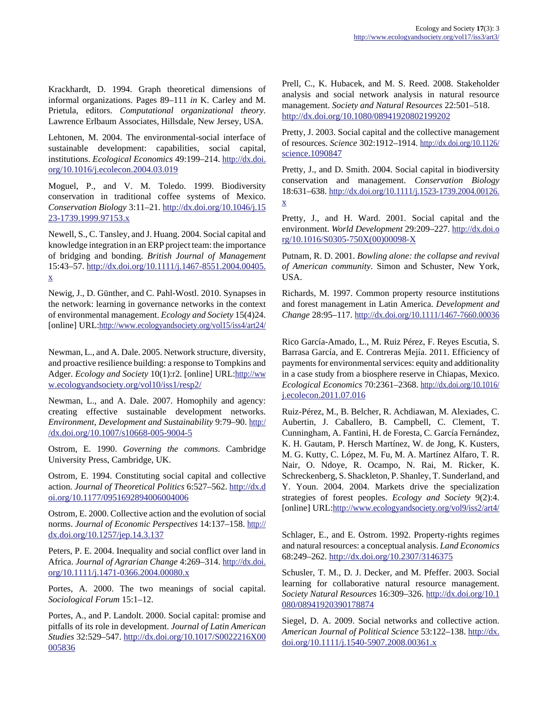Krackhardt, D. 1994. Graph theoretical dimensions of informal organizations. Pages 89–111 *in* K. Carley and M. Prietula, editors. *Computational organizational theory*. Lawrence Erlbaum Associates, Hillsdale, New Jersey, USA.

Lehtonen, M. 2004. The environmental-social interface of sustainable development: capabilities, social capital, institutions. *Ecological Economics* 49:199–214. [http://dx.doi.](http://dx.doi.org/10.1016/j.ecolecon.2004.03.019) [org/10.1016/j.ecolecon.2004.03.019](http://dx.doi.org/10.1016/j.ecolecon.2004.03.019)

Moguel, P., and V. M. Toledo. 1999. Biodiversity conservation in traditional coffee systems of Mexico. *Conservation Biology* 3:11–21. [http://dx.doi.org/10.1046/j.15](http://dx.doi.org/10.1046/j.1523-1739.1999.97153.x) [23-1739.1999.97153.x](http://dx.doi.org/10.1046/j.1523-1739.1999.97153.x)

Newell, S., C. Tansley, and J. Huang. 2004. Social capital and knowledge integration in an ERP project team: the importance of bridging and bonding. *British Journal of Management* 15:43–57. [http://dx.doi.org/10.1111/j.1467-8551.2004.00405.](http://dx.doi.org/10.1111/j.1467-8551.2004.00405.x) [x](http://dx.doi.org/10.1111/j.1467-8551.2004.00405.x)

Newig, J., D. Günther, and C. Pahl-Wostl. 2010. Synapses in the network: learning in governance networks in the context of environmental management. *Ecology and Society* 15(4)24. [online] URL:<http://www.ecologyandsociety.org/vol15/iss4/art24/>

Newman, L., and A. Dale. 2005. Network structure, diversity, and proactive resilience building: a response to Tompkins and Adger. *Ecology and Society* 10(1):r2. [online] URL:[http://ww](http://www.ecologyandsociety.org/vol10/iss1/resp2/) [w.ecologyandsociety.org/vol10/iss1/resp2/](http://www.ecologyandsociety.org/vol10/iss1/resp2/)

Newman, L., and A. Dale. 2007. Homophily and agency: creating effective sustainable development networks. *Environment, Development and Sustainability* 9:79–90. [http:/](http://dx.doi.org/10.1007/s10668-005-9004-5) [/dx.doi.org/10.1007/s10668-005-9004-5](http://dx.doi.org/10.1007/s10668-005-9004-5)

Ostrom, E. 1990. *Governing the commons*. Cambridge University Press, Cambridge, UK.

Ostrom, E. 1994. Constituting social capital and collective action. *Journal of Theoretical Politics* 6:527–562. [http://dx.d](http://dx.doi.org/10.1177/0951692894006004006) [oi.org/10.1177/0951692894006004006](http://dx.doi.org/10.1177/0951692894006004006)

Ostrom, E. 2000. Collective action and the evolution of social norms. *Journal of Economic Perspectives* 14:137–158. [http://](http://dx.doi.org/10.1257/jep.14.3.137) [dx.doi.org/10.1257/jep.14.3.137](http://dx.doi.org/10.1257/jep.14.3.137)

Peters, P. E. 2004. Inequality and social conflict over land in Africa. *Journal of Agrarian Change* 4:269–314. [http://dx.doi.](http://dx.doi.org/10.1111/j.1471-0366.2004.00080.x) [org/10.1111/j.1471-0366.2004.00080.x](http://dx.doi.org/10.1111/j.1471-0366.2004.00080.x)

Portes, A. 2000. The two meanings of social capital. *Sociological Forum* 15:1–12.

Portes, A., and P. Landolt. 2000. Social capital: promise and pitfalls of its role in development. *Journal of Latin American Studies* 32:529–547. [http://dx.doi.org/10.1017/S0022216X00](http://dx.doi.org/10.1017/S0022216X00005836) [005836](http://dx.doi.org/10.1017/S0022216X00005836)

Prell, C., K. Hubacek, and M. S. Reed. 2008. Stakeholder analysis and social network analysis in natural resource management. *Society and Natural Resources* 22:501–518. <http://dx.doi.org/10.1080/08941920802199202>

Pretty, J. 2003. Social capital and the collective management of resources. *Science* 302:1912–1914. [http://dx.doi.org/10.1126/](http://dx.doi.org/10.1126/science.1090847) [science.1090847](http://dx.doi.org/10.1126/science.1090847)

Pretty, J., and D. Smith. 2004. Social capital in biodiversity conservation and management. *Conservation Biology* 18:631–638. [http://dx.doi.org/10.1111/j.1523-1739.2004.00126.](http://dx.doi.org/10.1111/j.1523-1739.2004.00126.x) [x](http://dx.doi.org/10.1111/j.1523-1739.2004.00126.x)

Pretty, J., and H. Ward. 2001. Social capital and the environment. *World Development* 29:209–227. [http://dx.doi.o](http://dx.doi.org/10.1016/S0305-750X(00)00098-X) [rg/10.1016/S0305-750X\(00\)00098-X](http://dx.doi.org/10.1016/S0305-750X(00)00098-X)

Putnam, R. D. 2001. *Bowling alone: the collapse and revival of American community*. Simon and Schuster, New York, USA.

Richards, M. 1997. Common property resource institutions and forest management in Latin America. *Development and Change* 28:95–117.<http://dx.doi.org/10.1111/1467-7660.00036>

Rico García-Amado, L., M. Ruiz Pérez, F. Reyes Escutia, S. Barrasa García, and E. Contreras Mejía. 2011. Efficiency of payments for environmental services: equity and additionality in a case study from a biosphere reserve in Chiapas, Mexico. *Ecological Economics* 70:2361–2368. [http://dx.doi.org/10.1016/](http://dx.doi.org/10.1016/j.ecolecon.2011.07.016) [j.ecolecon.2011.07.016](http://dx.doi.org/10.1016/j.ecolecon.2011.07.016)

Ruiz-Pérez, M., B. Belcher, R. Achdiawan, M. Alexiades, C. Aubertin, J. Caballero, B. Campbell, C. Clement, T. Cunningham, A. Fantini, H. de Foresta, C. García Fernández, K. H. Gautam, P. Hersch Martínez, W. de Jong, K. Kusters, M. G. Kutty, C. López, M. Fu, M. A. Martínez Alfaro, T. R. Nair, O. Ndoye, R. Ocampo, N. Rai, M. Ricker, K. Schreckenberg, S. Shackleton, P. Shanley, T. Sunderland, and Y. Youn. 2004. 2004. Markets drive the specialization strategies of forest peoples. *Ecology and Society* 9(2):4. [online] URL:<http://www.ecologyandsociety.org/vol9/iss2/art4/>

Schlager, E., and E. Ostrom. 1992. Property-rights regimes and natural resources: a conceptual analysis. *Land Economics* 68:249–262. <http://dx.doi.org/10.2307/3146375>

Schusler, T. M., D. J. Decker, and M. Pfeffer. 2003. Social learning for collaborative natural resource management. *Society Natural Resources* 16:309–326. [http://dx.doi.org/10.1](http://dx.doi.org/10.1080/08941920390178874) [080/08941920390178874](http://dx.doi.org/10.1080/08941920390178874)

Siegel, D. A. 2009. Social networks and collective action. *American Journal of Political Science* 53:122–138. [http://dx.](http://dx.doi.org/10.1111/j.1540-5907.2008.00361.x) [doi.org/10.1111/j.1540-5907.2008.00361.x](http://dx.doi.org/10.1111/j.1540-5907.2008.00361.x)